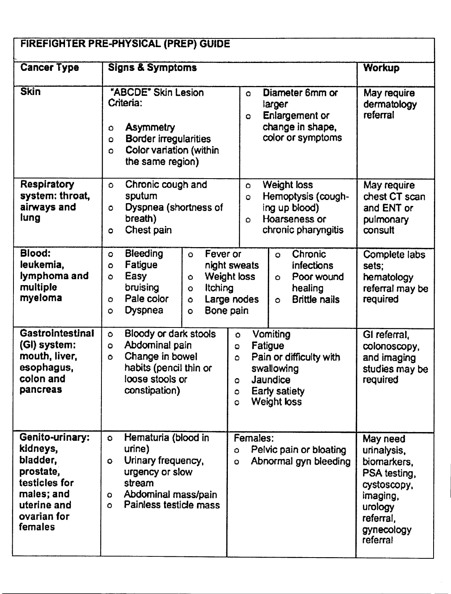| FIREFIGHTER PRE-PHYSICAL (PREP) GUIDE                                                                                        |                                                                                                                                                                                                                                                                                                                                                                                       |                                                                                                                                     |  |  |
|------------------------------------------------------------------------------------------------------------------------------|---------------------------------------------------------------------------------------------------------------------------------------------------------------------------------------------------------------------------------------------------------------------------------------------------------------------------------------------------------------------------------------|-------------------------------------------------------------------------------------------------------------------------------------|--|--|
| <b>Cancer Type</b>                                                                                                           | <b>Signs &amp; Symptoms</b>                                                                                                                                                                                                                                                                                                                                                           | <b>Workup</b>                                                                                                                       |  |  |
| <b>Skin</b>                                                                                                                  | "ABCDE" Skin Lesion<br>Diameter 6mm or<br>$\bullet$<br>Criteria:<br>larger<br><b>Enlargement or</b><br>$\bullet$<br>change in shape,<br><b>Asymmetry</b><br>$\bullet$<br>color or symptoms<br>Border irregularities<br>$\bullet$<br>Color variation (within<br>O<br>the same region)                                                                                                  | May require<br>dermatology<br>referral                                                                                              |  |  |
| <b>Respiratory</b><br>system: throat,<br>airways and<br>lung                                                                 | Chronic cough and<br><b>Weight loss</b><br>$\bullet$<br>$\bullet$<br>sputum<br>Hemoptysis (cough-<br>$\circ$<br>Dyspnea (shortness of<br>ing up blood)<br>Ō<br>breath)<br>Hoarseness or<br>Ò<br>Chest pain<br>chronic pharyngitis<br>$\bullet$                                                                                                                                        | May require<br>chest CT scan<br>and ENT or<br>pulmonary<br>consult                                                                  |  |  |
| Blood:<br>leukemia,<br>lymphoma and<br>multiple<br>myeloma                                                                   | Bleeding<br>Chronic<br>Fever or<br>$\circ$<br>$\bullet$<br>$\bullet$<br>Fatigue<br>night sweats<br><i>infections</i><br>$\bullet$<br>Easy<br><b>Weight loss</b><br>Poor wound<br>$\bullet$<br>O<br>۰<br>bruising<br>Itching<br>healing<br>$\circ$<br>Pale color<br>Large nodes<br><b>Brittle nails</b><br>$\bullet$<br>Ō<br>$\circ$<br>Bone pain<br>Dyspnea<br>$\bullet$<br>$\bullet$ | Complete labs<br>sets;<br>hematology<br>referral may be<br>required                                                                 |  |  |
| Gastrointestinal<br>(GI) system:<br>mouth, liver,<br>esophagus,<br>colon and<br>pancreas                                     | Bloody or dark stools<br>Vomiting<br>Ō<br>O<br>Abdominal pain<br>Fatigue<br>$\circ$<br>$\bullet$<br>Change in bowel<br>Pain or difficulty with<br>Ō<br>$\bullet$<br>habits (pencil thin or<br>swallowing<br>loose stools or<br>Jaundice<br>O.<br>constipation)<br><b>Early satiety</b><br>$\circ$<br>Weight loss<br>$\circ$                                                           | GI referral,<br>colonoscopy,<br>and imaging<br>studies may be<br>required                                                           |  |  |
| Genito-urinary:<br>kidneys,<br>bladder,<br>prostate,<br>testicles for<br>males; and<br>uterine and<br>ovarian for<br>females | Hematuria (blood in<br>Females:<br>$\bullet$<br>urine)<br>Pelvic pain or bloating<br>$\circ$<br>Urinary frequency,<br>Abnormal gyn bleeding<br>O<br>$\bullet$<br>urgency or slow<br>stream<br>Abdominal mass/pain<br>$\bullet$<br>Painless testicle mass<br>Ō.                                                                                                                        | May need<br>urinalysis,<br>biomarkers,<br>PSA testing,<br>cystoscopy,<br>imaging,<br>urology<br>referral,<br>gynecology<br>referral |  |  |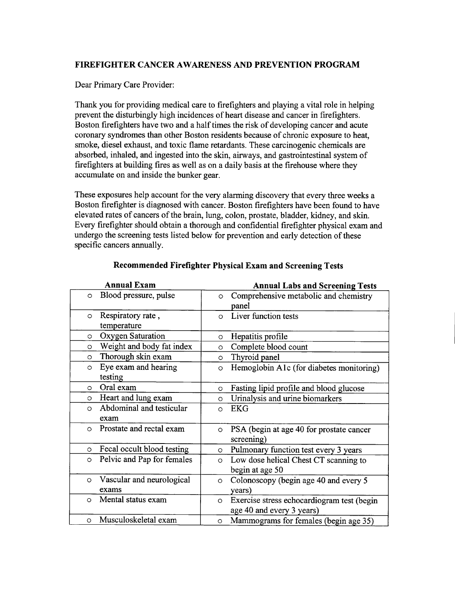## FIREFIGHTER CANCER AWARENESS AND PREVENTION PROGRAM

Dear Primary Care Provider:

Thank you for providing medical care to firefighters and playing a vital role in helping prevent the disturbingly high incidences of heart disease and cancer in firefighters. Boston firefighters have two and a half times the risk of developing cancer and acute coronary syndromes than other Boston residents because of chronic exposure to heat, smoke, diesel exhaust, and toxic flame retardants. These carcinogenic chemicals are absorbed, inhaled, and ingested into the skin, airways, and gastrointestinal system of firefighters at building fires as well as on a daily basis at the firehouse where they accumulate on and inside the bunker gear.

These exposures help account for the very alarming discovery that every three weeks a Boston firefighter is diagnosed with cancer. Boston firefighters have been found to have elevated rates of cancers of the brain, lung, colon, prostate, bladder, kidney, and skin. Every firefighter should obtain a thorough and confidential firefighter physical exam and undergo the screening tests listed below for prevention and early detection of these specific cancers annually.

| <b>Annual Exam</b>         |          | <b>Annual Labs and Screening Tests</b>     |  |  |
|----------------------------|----------|--------------------------------------------|--|--|
| Blood pressure, pulse      | $\Omega$ | Comprehensive metabolic and chemistry      |  |  |
|                            |          | panel                                      |  |  |
| Respiratory rate,          | $\Omega$ | Liver function tests                       |  |  |
| temperature                |          |                                            |  |  |
| Oxygen Saturation          | $\circ$  | Hepatitis profile                          |  |  |
| Weight and body fat index  | $\circ$  | Complete blood count                       |  |  |
| Thorough skin exam         | $\circ$  | Thyroid panel                              |  |  |
| Eye exam and hearing       | $\circ$  | Hemoglobin A1c (for diabetes monitoring)   |  |  |
| testing                    |          |                                            |  |  |
| Oral exam                  | $\circ$  | Fasting lipid profile and blood glucose    |  |  |
| Heart and lung exam        | $\circ$  | Urinalysis and urine biomarkers            |  |  |
| Abdominal and testicular   | O        | <b>EKG</b>                                 |  |  |
| exam                       |          |                                            |  |  |
| Prostate and rectal exam   | $\circ$  | PSA (begin at age 40 for prostate cancer   |  |  |
|                            |          | screening)                                 |  |  |
| Fecal occult blood testing | $\circ$  | Pulmonary function test every 3 years      |  |  |
| Pelvic and Pap for females | $\circ$  | Low dose helical Chest CT scanning to      |  |  |
|                            |          | begin at age 50                            |  |  |
| Vascular and neurological  | $\circ$  | Colonoscopy (begin age 40 and every 5      |  |  |
| exams                      |          | years)                                     |  |  |
| Mental status exam         | $\circ$  | Exercise stress echocardiogram test (begin |  |  |
|                            |          | age 40 and every 3 years)                  |  |  |
| Musculoskeletal exam       | $\circ$  | Mammograms for females (begin age 35)      |  |  |
|                            |          |                                            |  |  |

## Recommended Firefighter Physical Exam and Screening Tests